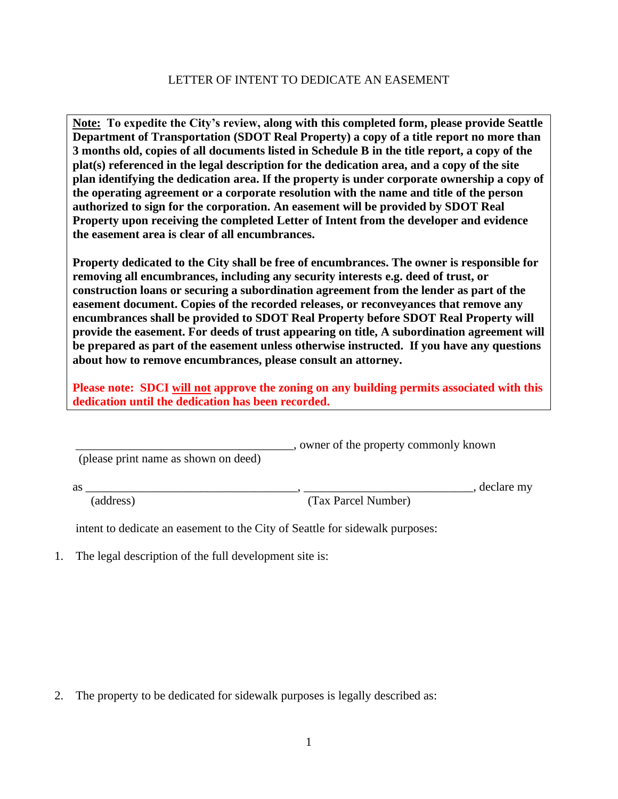## LETTER OF INTENT TO DEDICATE AN EASEMENT

**Note: To expedite the City's review, along with this completed form, please provide Seattle Department of Transportation (SDOT Real Property) a copy of a title report no more than 3 months old, copies of all documents listed in Schedule B in the title report, a copy of the plat(s) referenced in the legal description for the dedication area, and a copy of the site plan identifying the dedication area. If the property is under corporate ownership a copy of the operating agreement or a corporate resolution with the name and title of the person authorized to sign for the corporation. An easement will be provided by SDOT Real Property upon receiving the completed Letter of Intent from the developer and evidence the easement area is clear of all encumbrances.**

**Property dedicated to the City shall be free of encumbrances. The owner is responsible for removing all encumbrances, including any security interests e.g. deed of trust, or construction loans or securing a subordination agreement from the lender as part of the easement document. Copies of the recorded releases, or reconveyances that remove any encumbrances shall be provided to SDOT Real Property before SDOT Real Property will provide the easement. For deeds of trust appearing on title, A subordination agreement will be prepared as part of the easement unless otherwise instructed. If you have any questions about how to remove encumbrances, please consult an attorney.**

**Please note: SDCI will not approve the zoning on any building permits associated with this dedication until the dedication has been recorded.**

\_\_\_\_\_\_\_\_\_\_\_\_\_\_\_\_\_\_\_\_\_\_\_\_\_\_\_\_\_\_\_\_\_\_\_\_, owner of the property commonly known

(please print name as shown on deed)

as \_\_\_\_\_\_\_\_\_\_\_\_\_\_\_\_\_\_\_\_\_\_\_\_\_\_\_\_\_\_\_\_\_\_\_, \_\_\_\_\_\_\_\_\_\_\_\_\_\_\_\_\_\_\_\_\_\_\_\_\_\_\_\_, declare my (address) (Tax Parcel Number)

intent to dedicate an easement to the City of Seattle for sidewalk purposes:

1. The legal description of the full development site is:

2. The property to be dedicated for sidewalk purposes is legally described as: